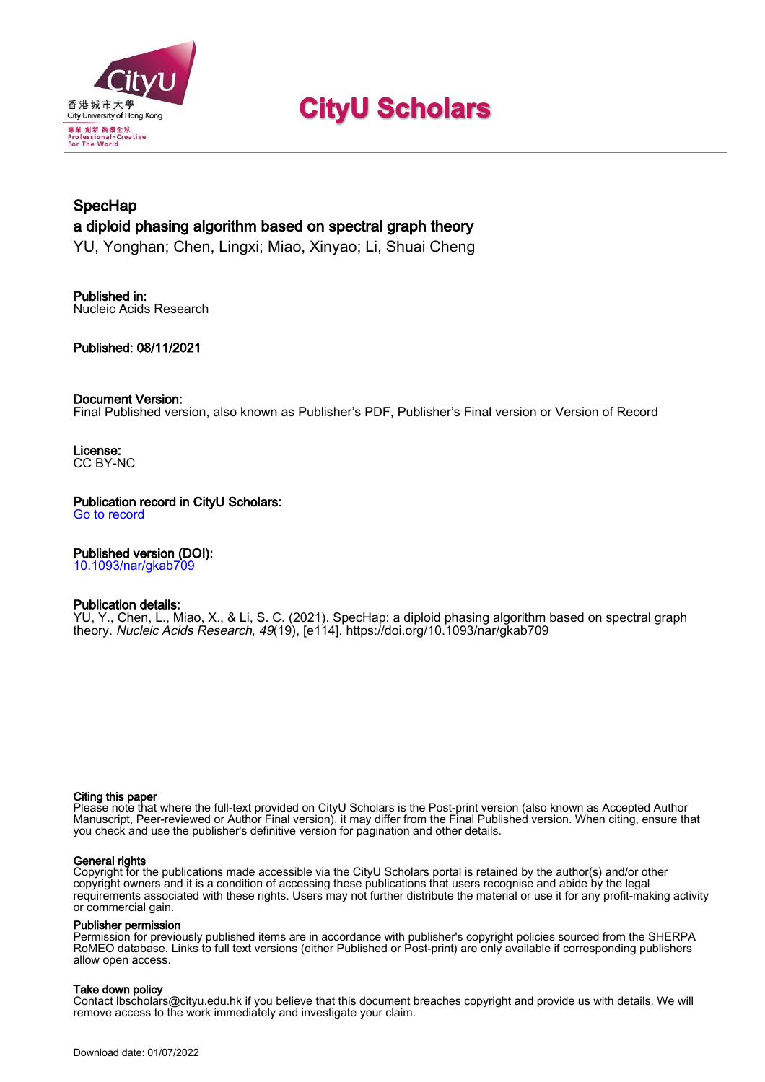

# **CityU Scholars**

# **SpecHap** a diploid phasing algorithm based on spectral graph theory

YU, Yonghan; Chen, Lingxi; Miao, Xinyao; Li, Shuai Cheng

Published in: Nucleic Acids Research

Published: 08/11/2021

# Document Version:

Final Published version, also known as Publisher's PDF, Publisher's Final version or Version of Record

License: CC BY-NC

Publication record in CityU Scholars:

[Go to record](https://scholars.cityu.edu.hk/en/publications/spechap(64c1a4b4-9a17-47a7-80d8-3b900b2596a2).html)

# Published version (DOI):

[10.1093/nar/gkab709](https://doi.org/10.1093/nar/gkab709)

#### Publication details:

YU, Y.[, Chen, L.](https://scholars.cityu.edu.hk/en/persons/lingxi-chen(45610d00-cdc3-410b-b680-cc3adc0878c0).html)[, Miao, X.](https://scholars.cityu.edu.hk/en/persons/xinyao-miao(b37bd064-d33c-4dab-ac79-5e18b641dc3d).html)[, & Li, S. C.](https://scholars.cityu.edu.hk/en/persons/shuaicheng-li(04c5b0fa-682a-4ccb-b14c-59bcb0d3d7b9).html) (2021). [SpecHap: a diploid phasing algorithm based on spectral graph](https://scholars.cityu.edu.hk/en/publications/spechap(64c1a4b4-9a17-47a7-80d8-3b900b2596a2).html) [theory.](https://scholars.cityu.edu.hk/en/publications/spechap(64c1a4b4-9a17-47a7-80d8-3b900b2596a2).html) [Nucleic Acids Research](https://scholars.cityu.edu.hk/en/journals/nucleic-acids-research(2a001a4c-0185-4afa-bef2-0eace1a51f47)/publications.html), 49(19), [e114].<https://doi.org/10.1093/nar/gkab709>

#### Citing this paper

Please note that where the full-text provided on CityU Scholars is the Post-print version (also known as Accepted Author Manuscript, Peer-reviewed or Author Final version), it may differ from the Final Published version. When citing, ensure that you check and use the publisher's definitive version for pagination and other details.

#### General rights

Copyright for the publications made accessible via the CityU Scholars portal is retained by the author(s) and/or other copyright owners and it is a condition of accessing these publications that users recognise and abide by the legal requirements associated with these rights. Users may not further distribute the material or use it for any profit-making activity or commercial gain.

#### Publisher permission

Permission for previously published items are in accordance with publisher's copyright policies sourced from the SHERPA RoMEO database. Links to full text versions (either Published or Post-print) are only available if corresponding publishers allow open access.

# Take down policy

Contact lbscholars@cityu.edu.hk if you believe that this document breaches copyright and provide us with details. We will remove access to the work immediately and investigate your claim.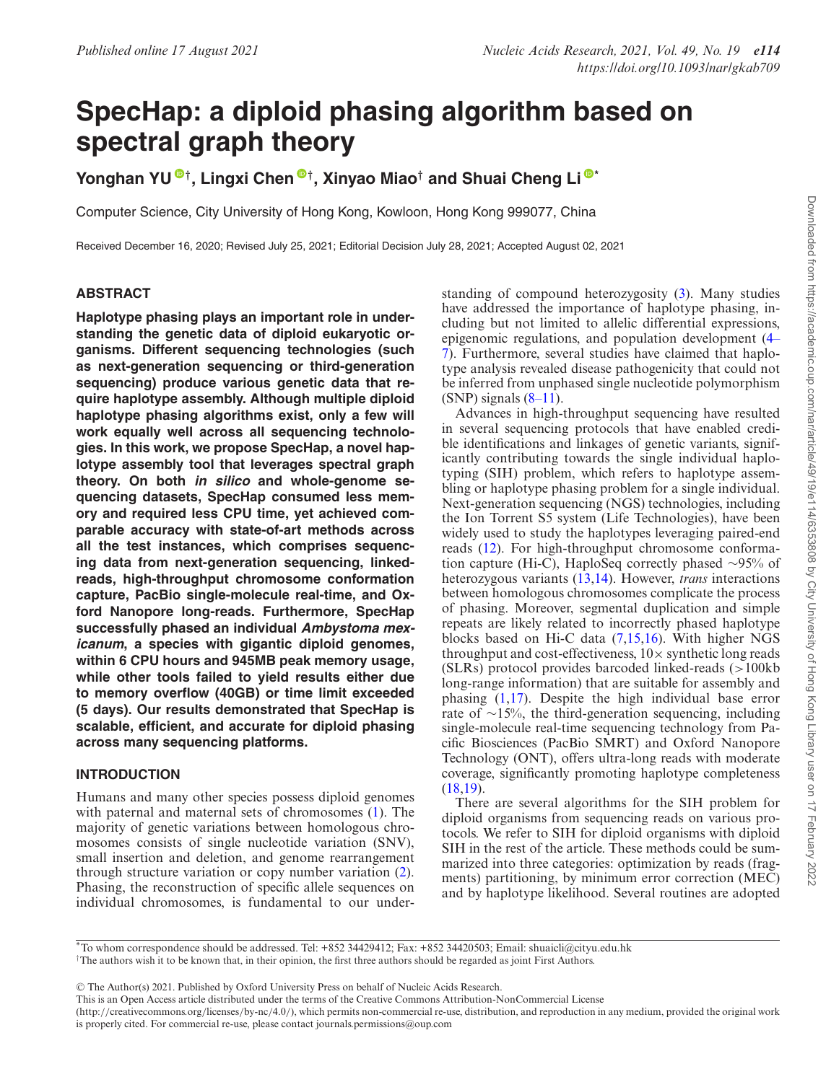# **SpecHap: a diploid phasing algorithm based on spectral graph theory**

**Yonghan YU** *[†](https://orcid.org/0000-0001-6359-6823)***, Lingxi Chen** *[†](https://orcid.org/0000-0002-5229-7470)***, Xinyao Miao***†* **and Shuai Cheng Li [\\*](https://orcid.org/0000-0001-6246-6349)**

Computer Science, City University of Hong Kong, Kowloon, Hong Kong 999077, China

Received December 16, 2020; Revised July 25, 2021; Editorial Decision July 28, 2021; Accepted August 02, 2021

### **ABSTRACT**

**Haplotype phasing plays an important role in understanding the genetic data of diploid eukaryotic organisms. Different sequencing technologies (such as next-generation sequencing or third-generation sequencing) produce various genetic data that require haplotype assembly. Although multiple diploid haplotype phasing algorithms exist, only a few will work equally well across all sequencing technologies. In this work, we propose SpecHap, a novel haplotype assembly tool that leverages spectral graph theory. On both in silico and whole-genome sequencing datasets, SpecHap consumed less memory and required less CPU time, yet achieved comparable accuracy with state-of-art methods across all the test instances, which comprises sequencing data from next-generation sequencing, linkedreads, high-throughput chromosome conformation capture, PacBio single-molecule real-time, and Oxford Nanopore long-reads. Furthermore, SpecHap successfully phased an individual Ambystoma mexicanum, a species with gigantic diploid genomes, within 6 CPU hours and 945MB peak memory usage, while other tools failed to yield results either due to memory overflow (40GB) or time limit exceeded (5 days). Our results demonstrated that SpecHap is scalable, efficient, and accurate for diploid phasing across many sequencing platforms.**

#### **INTRODUCTION**

Humans and many other species possess diploid genomes with paternal and maternal sets of chromosomes [\(1\)](#page-10-0). The majority of genetic variations between homologous chromosomes consists of single nucleotide variation (SNV), small insertion and deletion, and genome rearrangement through structure variation or copy number variation [\(2\)](#page-10-0). Phasing, the reconstruction of specific allele sequences on individual chromosomes, is fundamental to our understanding of compound heterozygosity [\(3\)](#page-10-0). Many studies have addressed the importance of haplotype phasing, including but not limited to allelic differential expressions, epigenomic regulations, and population development (4– [7\). Furthermore, several studies have claimed that haplo](#page-10-0)type analysis revealed disease pathogenicity that could not be inferred from unphased single nucleotide polymorphism  $(SNP)$  signals  $(8-11)$ .

Advances in high-throughput sequencing have resulted in several sequencing protocols that have enabled credible identifications and linkages of genetic variants, significantly contributing towards the single individual haplotyping (SIH) problem, which refers to haplotype assembling or haplotype phasing problem for a single individual. Next-generation sequencing (NGS) technologies, including the Ion Torrent S5 system (Life Technologies), have been widely used to study the haplotypes leveraging paired-end reads [\(12\)](#page-10-0). For high-throughput chromosome conformation capture (Hi-C), HaploSeq correctly phased ∼95% of heterozygous variants [\(13,14\)](#page-10-0). However, *trans* interactions between homologous chromosomes complicate the process of phasing. Moreover, segmental duplication and simple repeats are likely related to incorrectly phased haplotype blocks based on Hi-C data [\(7,15,16\)](#page-10-0). With higher NGS throughput and cost-effectiveness,  $10\times$  synthetic long reads (SLRs) protocol provides barcoded linked-reads (>100kb long-range information) that are suitable for assembly and phasing [\(1,17\)](#page-10-0). Despite the high individual base error rate of ∼15%, the third-generation sequencing, including single-molecule real-time sequencing technology from Pacific Biosciences (PacBio SMRT) and Oxford Nanopore Technology (ONT), offers ultra-long reads with moderate coverage, significantly promoting haplotype completeness [\(18,19\)](#page-10-0).

There are several algorithms for the SIH problem for diploid organisms from sequencing reads on various protocols. We refer to SIH for diploid organisms with diploid SIH in the rest of the article. These methods could be summarized into three categories: optimization by reads (fragments) partitioning, by minimum error correction (MEC) and by haplotype likelihood. Several routines are adopted

\*To whom correspondence should be addressed. Tel: +852 34429412; Fax: +852 34420503; Email: shuaicli@cityu.edu.hk <sup> $\dagger$ </sup>The authors wish it to be known that, in their opinion, the first three authors should be regarded as joint First Authors.

<sup>C</sup> The Author(s) 2021. Published by Oxford University Press on behalf of Nucleic Acids Research.

This is an Open Access article distributed under the terms of the Creative Commons Attribution-NonCommercial License

(http://creativecommons.org/licenses/by-nc/4.0/), which permits non-commercial re-use, distribution, and reproduction in any medium, provided the original work is properly cited. For commercial re-use, please contact journals.permissions@oup.com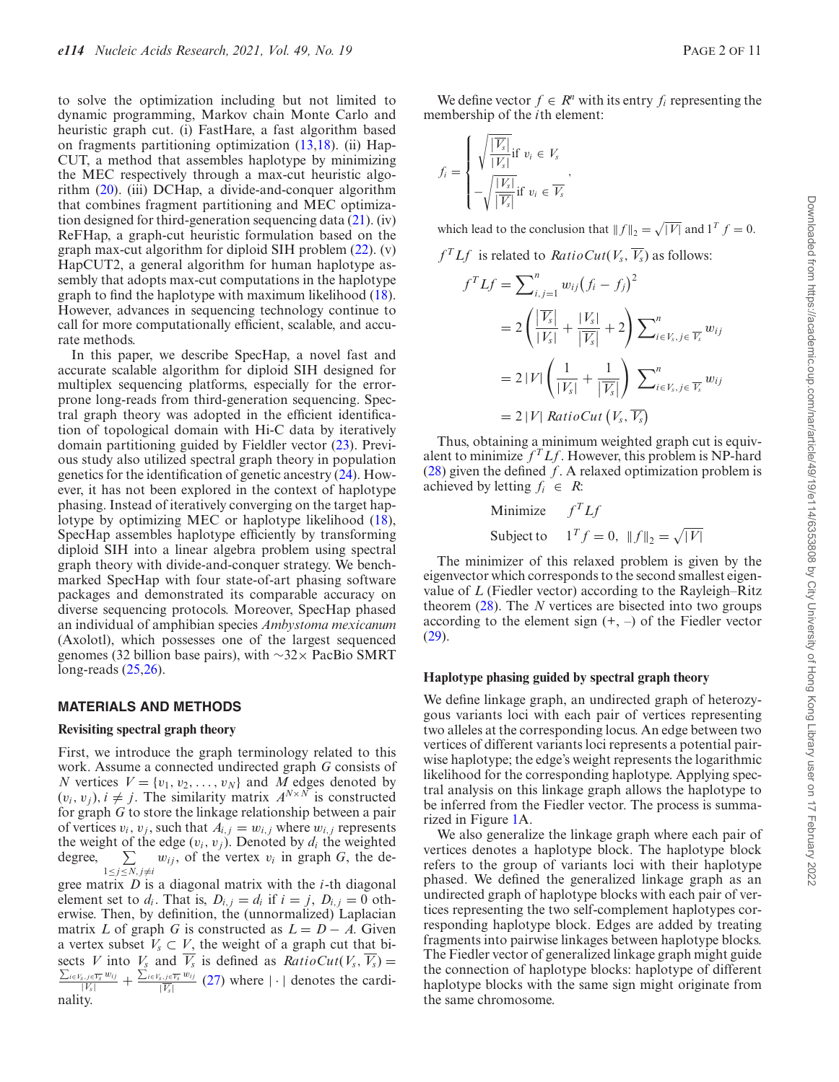to solve the optimization including but not limited to dynamic programming, Markov chain Monte Carlo and heuristic graph cut. (i) FastHare, a fast algorithm based on fragments partitioning optimization [\(13,18\)](#page-10-0). (ii) Hap-CUT, a method that assembles haplotype by minimizing the MEC respectively through a max-cut heuristic algorithm [\(20\)](#page-10-0). (iii) DCHap, a divide-and-conquer algorithm that combines fragment partitioning and MEC optimization designed for third-generation sequencing data [\(21\)](#page-10-0). (iv) ReFHap, a graph-cut heuristic formulation based on the graph max-cut algorithm for diploid SIH problem [\(22\)](#page-10-0). (v) HapCUT2, a general algorithm for human haplotype assembly that adopts max-cut computations in the haplotype graph to find the haplotype with maximum likelihood [\(18\)](#page-10-0). However, advances in sequencing technology continue to call for more computationally efficient, scalable, and accurate methods.

In this paper, we describe SpecHap, a novel fast and accurate scalable algorithm for diploid SIH designed for multiplex sequencing platforms, especially for the errorprone long-reads from third-generation sequencing. Spectral graph theory was adopted in the efficient identification of topological domain with Hi-C data by iteratively domain partitioning guided by Fieldler vector [\(23\)](#page-10-0). Previous study also utilized spectral graph theory in population genetics for the identification of genetic ancestry [\(24\)](#page-10-0). However, it has not been explored in the context of haplotype phasing. Instead of iteratively converging on the target haplotype by optimizing MEC or haplotype likelihood [\(18\)](#page-10-0), SpecHap assembles haplotype efficiently by transforming diploid SIH into a linear algebra problem using spectral graph theory with divide-and-conquer strategy. We benchmarked SpecHap with four state-of-art phasing software packages and demonstrated its comparable accuracy on diverse sequencing protocols. Moreover, SpecHap phased an individual of amphibian species *Ambystoma mexicanum* (Axolotl), which possesses one of the largest sequenced genomes (32 billion base pairs), with ∼32× PacBio SMRT long-reads [\(25,26\)](#page-10-0).

#### **MATERIALS AND METHODS**

#### **Revisiting spectral graph theory**

First, we introduce the graph terminology related to this work. Assume a connected undirected graph *G* consists of *N* vertices  $V = \{v_1, v_2, \dots, v_N\}$  and *M* edges denoted by  $(v_i, v_j)$ ,  $i \neq j$ . The similarity matrix  $A^{N \times N}$  is constructed for graph *G* to store the linkage relationship between a pair of vertices  $v_i$ ,  $v_j$ , such that  $A_{i,j} = w_{i,j}$  where  $w_{i,j}$  represents the weight of the edge  $(v_i, v_j)$ . Denoted by  $d_i$  the weighted degree,  $\sum_{1 \leq j \leq N, j \neq i} w_{ij}$ , of the vertex  $v_i$  in graph *G*, the de-

gree matrix *D* is a diagonal matrix with the *i*-th diagonal element set to  $d_i$ . That is,  $D_{i,j} = d_i$  if  $i = j$ ,  $D_{i,j} = 0$  otherwise. Then, by definition, the (unnormalized) Laplacian matrix *L* of graph *G* is constructed as  $L = D - A$ . Given a vertex subset  $V_s \subset V$ , the weight of a graph cut that bisects *V* into  $V_s$  and  $\overline{V_s}$  is defined as  $RatioCut(V_s, \overline{V_s}) = \sum_{i \in V_s} \sum_{i \in V_s} w_{ij}$ ,  $\sum_{i \in V_s} w_{ij}$  (27) relevant to the specific  $\frac{i\in V_s, j\in \overline{V_s} w_{ij}}{|V_s|} + \frac{\sum_{i\in V_s, j\in \overline{V_s} w_{ij}}{|\overline{V_s}|}$  [\(27\)](#page-10-0) where  $|\cdot|$  denotes the cardinality.

We define vector  $f \in R^n$  with its entry  $f_i$  representing the membership of the *i*th element:

$$
f_i = \begin{cases} \sqrt{\frac{|\overline{V_s}|}{|V_s|}} \text{if } v_i \in V_s \\ -\sqrt{\frac{|V_s|}{|\overline{V_s}|}} \text{if } v_i \in \overline{V_s} \end{cases}
$$

which lead to the conclusion that  $|| f ||_2 = \sqrt{|V|}$  and  $1^T f = 0$ .

$$
f^T L f
$$
 is related to  $RatioCut(V_s, \overline{V_s})$  as follows:  

$$
f^T L f = \sum_{i=1}^n w_{ij} (f_i - f_j)^2
$$

$$
f^T L f = \sum_{i,j=1}^n w_{ij} (f_i - f_j)^2
$$
  
=  $2 \left( \frac{|\overline{V_s}|}{|V_s|} + \frac{|V_s|}{|\overline{V_s}|} + 2 \right) \sum_{i \in V_s, j \in \overline{V_s}}^n w_{ij}$   
=  $2 |V| \left( \frac{1}{|V_s|} + \frac{1}{|\overline{V_s}|} \right) \sum_{i \in V_s, j \in \overline{V_s}}^n w_{ij}$   
=  $2 |V| \text{ RatioCut}(V_s, \overline{V_s})$ 

Thus, obtaining a minimum weighted graph cut is equivalent to minimize  $f^T L f$ . However, this problem is NP-hard [\(28\)](#page-10-0) given the defined *f*. A relaxed optimization problem is achieved by letting  $f_i \in R$ :

Minimize 
$$
f^T L f
$$
  
Subject to  $1^T f = 0$ ,  $||f||_2 = \sqrt{|V|}$ 

The minimizer of this relaxed problem is given by the eigenvector which corresponds to the second smallest eigenvalue of *L* (Fiedler vector) according to the Rayleigh–Ritz theorem [\(28\)](#page-10-0). The *N* vertices are bisected into two groups according to the element sign  $(+, -)$  of the Fiedler vector  $(29)$ .

#### **Haplotype phasing guided by spectral graph theory**

We define linkage graph, an undirected graph of heterozygous variants loci with each pair of vertices representing two alleles at the corresponding locus. An edge between two vertices of different variants loci represents a potential pairwise haplotype; the edge's weight represents the logarithmic likelihood for the corresponding haplotype. Applying spectral analysis on this linkage graph allows the haplotype to be inferred from the Fiedler vector. The process is summarized in Figure [1A](#page-3-0).

We also generalize the linkage graph where each pair of vertices denotes a haplotype block. The haplotype block refers to the group of variants loci with their haplotype phased. We defined the generalized linkage graph as an undirected graph of haplotype blocks with each pair of vertices representing the two self-complement haplotypes corresponding haplotype block. Edges are added by treating fragments into pairwise linkages between haplotype blocks. The Fiedler vector of generalized linkage graph might guide the connection of haplotype blocks: haplotype of different haplotype blocks with the same sign might originate from the same chromosome.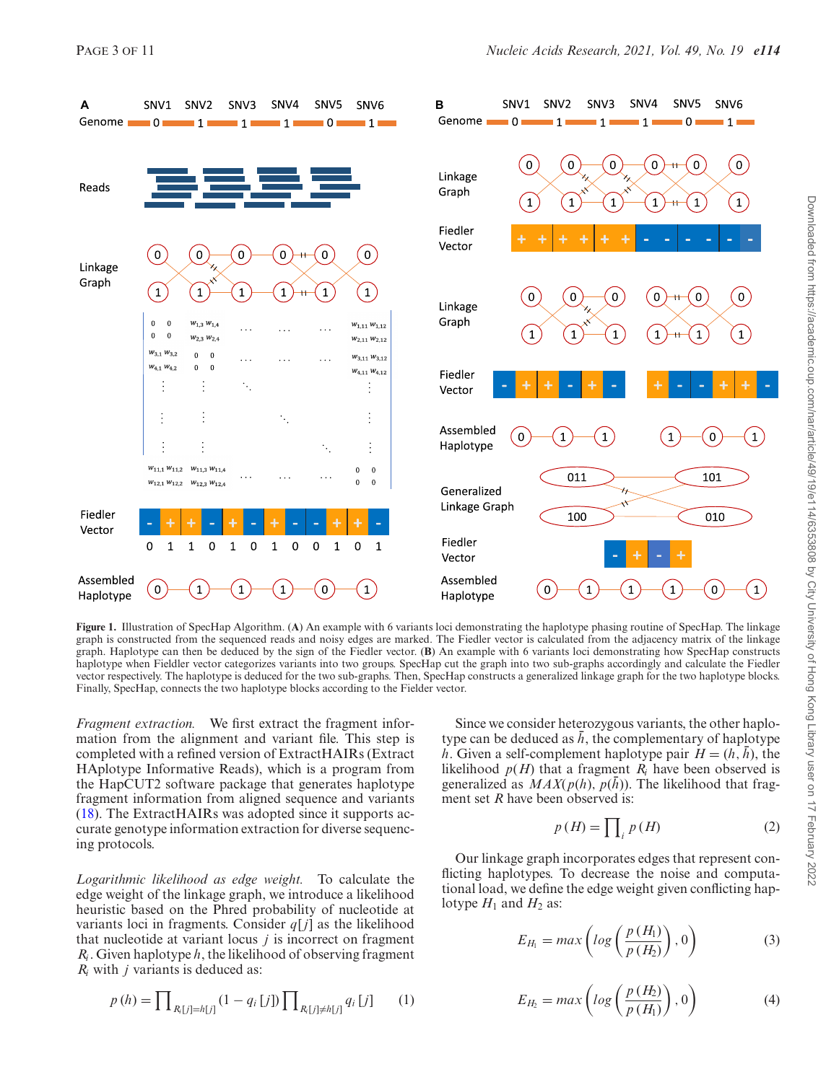<span id="page-3-0"></span>

**Figure 1.** Illustration of SpecHap Algorithm. (**A**) An example with 6 variants loci demonstrating the haplotype phasing routine of SpecHap. The linkage graph is constructed from the sequenced reads and noisy edges are marked. The Fiedler vector is calculated from the adjacency matrix of the linkage graph. Haplotype can then be deduced by the sign of the Fiedler vector. (**B**) An example with 6 variants loci demonstrating how SpecHap constructs haplotype when Fieldler vector categorizes variants into two groups. SpecHap cut the graph into two sub-graphs accordingly and calculate the Fiedler vector respectively. The haplotype is deduced for the two sub-graphs. Then, SpecHap constructs a generalized linkage graph for the two haplotype blocks. Finally, SpecHap, connects the two haplotype blocks according to the Fielder vector.

*Fragment extraction.* We first extract the fragment information from the alignment and variant file. This step is completed with a refined version of ExtractHAIRs (Extract HAplotype Informative Reads), which is a program from the HapCUT2 software package that generates haplotype fragment information from aligned sequence and variants [\(18\)](#page-10-0). The ExtractHAIRs was adopted since it supports accurate genotype information extraction for diverse sequencing protocols.

*Logarithmic likelihood as edge weight.* To calculate the edge weight of the linkage graph, we introduce a likelihood heuristic based on the Phred probability of nucleotide at variants loci in fragments. Consider  $q[j]$  as the likelihood that nucleotide at variant locus *j* is incorrect on fragment *Ri* . Given haplotype *h*, the likelihood of observing fragment *Ri* with *j* variants is deduced as:

$$
p(h) = \prod_{R_i[j] = h[j]} (1 - q_i[j]) \prod_{R_i[j] \neq h[j]} q_i[j] \qquad (1)
$$

Since we consider heterozygous variants, the other haplotype can be deduced as  $\bar{h}$ , the complementary of haplotype *h*. Given a self-complement haplotype pair  $H = (h, \bar{h})$ , the likelihood  $p(H)$  that a fragment  $R_i$  have been observed is generalized as  $MAX(p(h), p(\bar{h}))$ . The likelihood that fragment set *R* have been observed is:

$$
p(H) = \prod_{i} p(H) \tag{2}
$$

Our linkage graph incorporates edges that represent conflicting haplotypes. To decrease the noise and computational load, we define the edge weight given conflicting haplotype  $H_1$  and  $H_2$  as:

$$
E_{H_1} = max\left(log\left(\frac{p(H_1)}{p(H_2)}\right), 0\right) \tag{3}
$$

$$
E_{H_2} = max\left(log\left(\frac{p(H_2)}{p(H_1)}\right), 0\right) \tag{4}
$$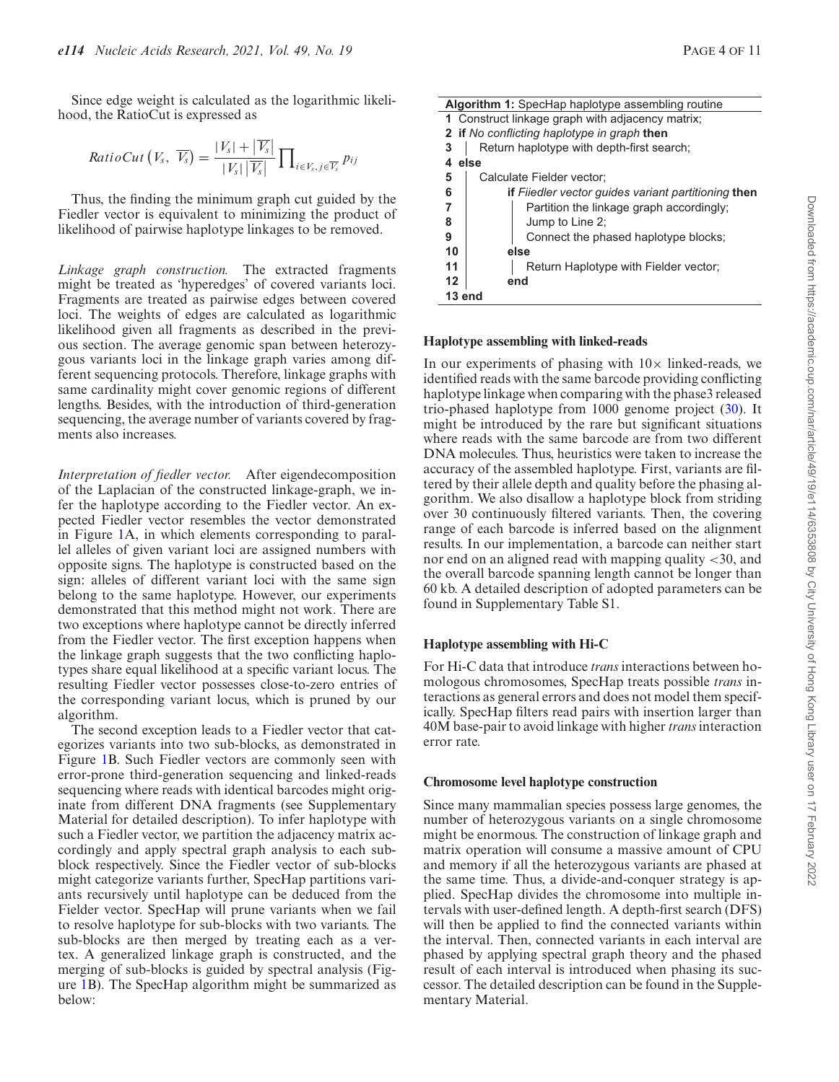Since edge weight is calculated as the logarithmic likelihood, the RatioCut is expressed as

$$
RatioCut\left(V_s, \overline{V_s}\right) = \frac{|V_s| + |\overline{V_s}|}{|V_s| |\overline{V_s}|} \prod_{i \in V_s, j \in \overline{V_s}} p_{ij}
$$

Thus, the finding the minimum graph cut guided by the Fiedler vector is equivalent to minimizing the product of likelihood of pairwise haplotype linkages to be removed.

*Linkage graph construction.* The extracted fragments might be treated as 'hyperedges' of covered variants loci. Fragments are treated as pairwise edges between covered loci. The weights of edges are calculated as logarithmic likelihood given all fragments as described in the previous section. The average genomic span between heterozygous variants loci in the linkage graph varies among different sequencing protocols. Therefore, linkage graphs with same cardinality might cover genomic regions of different lengths. Besides, with the introduction of third-generation sequencing, the average number of variants covered by fragments also increases.

*Interpretation of fiedler vector.* After eigendecomposition of the Laplacian of the constructed linkage-graph, we infer the haplotype according to the Fiedler vector. An expected Fiedler vector resembles the vector demonstrated in Figure [1A](#page-3-0), in which elements corresponding to parallel alleles of given variant loci are assigned numbers with opposite signs. The haplotype is constructed based on the sign: alleles of different variant loci with the same sign belong to the same haplotype. However, our experiments demonstrated that this method might not work. There are two exceptions where haplotype cannot be directly inferred from the Fiedler vector. The first exception happens when the linkage graph suggests that the two conflicting haplotypes share equal likelihood at a specific variant locus. The resulting Fiedler vector possesses close-to-zero entries of the corresponding variant locus, which is pruned by our algorithm.

The second exception leads to a Fiedler vector that categorizes variants into two sub-blocks, as demonstrated in Figure [1B](#page-3-0). Such Fiedler vectors are commonly seen with error-prone third-generation sequencing and linked-reads sequencing where reads with identical barcodes might originate from different DNA fragments (see Supplementary Material for detailed description). To infer haplotype with such a Fiedler vector, we partition the adjacency matrix accordingly and apply spectral graph analysis to each subblock respectively. Since the Fiedler vector of sub-blocks might categorize variants further, SpecHap partitions variants recursively until haplotype can be deduced from the Fielder vector. SpecHap will prune variants when we fail to resolve haplotype for sub-blocks with two variants. The sub-blocks are then merged by treating each as a vertex. A generalized linkage graph is constructed, and the merging of sub-blocks is guided by spectral analysis (Figure [1B](#page-3-0)). The SpecHap algorithm might be summarized as below:

| Algorithm 1: SpecHap haplotype assembling routine |                                                            |
|---------------------------------------------------|------------------------------------------------------------|
|                                                   | 1 Construct linkage graph with adjacency matrix;           |
|                                                   | <b>2</b> if No conflicting haplotype in graph then         |
| 3                                                 | Return haplotype with depth-first search;                  |
|                                                   | else                                                       |
| 5                                                 | Calculate Fielder vector:                                  |
| 6                                                 | <b>if</b> Fiiedler vector guides variant partitioning then |
| $\overline{7}$                                    | Partition the linkage graph accordingly;                   |
| 8                                                 | Jump to Line 2;                                            |
| 9                                                 | Connect the phased haplotype blocks;                       |
| 10                                                | else                                                       |
| 11                                                | Return Haplotype with Fielder vector;                      |
| 12                                                | end                                                        |

#### **Haplotype assembling with linked-reads**

**13 end**

In our experiments of phasing with  $10\times$  linked-reads, we identified reads with the same barcode providing conflicting haplotype linkage when comparing with the phase3 released trio-phased haplotype from 1000 genome project [\(30\)](#page-10-0). It might be introduced by the rare but significant situations where reads with the same barcode are from two different DNA molecules. Thus, heuristics were taken to increase the accuracy of the assembled haplotype. First, variants are filtered by their allele depth and quality before the phasing algorithm. We also disallow a haplotype block from striding over 30 continuously filtered variants. Then, the covering range of each barcode is inferred based on the alignment results. In our implementation, a barcode can neither start nor end on an aligned read with mapping quality <30, and the overall barcode spanning length cannot be longer than 60 kb. A detailed description of adopted parameters can be found in Supplementary Table S1.

#### **Haplotype assembling with Hi-C**

For Hi-C data that introduce *trans* interactions between homologous chromosomes, SpecHap treats possible *trans* interactions as general errors and does not model them specifically. SpecHap filters read pairs with insertion larger than 40M base-pair to avoid linkage with higher*trans*interaction error rate.

#### **Chromosome level haplotype construction**

Since many mammalian species possess large genomes, the number of heterozygous variants on a single chromosome might be enormous. The construction of linkage graph and matrix operation will consume a massive amount of CPU and memory if all the heterozygous variants are phased at the same time. Thus, a divide-and-conquer strategy is applied. SpecHap divides the chromosome into multiple intervals with user-defined length. A depth-first search (DFS) will then be applied to find the connected variants within the interval. Then, connected variants in each interval are phased by applying spectral graph theory and the phased result of each interval is introduced when phasing its successor. The detailed description can be found in the Supplementary Material.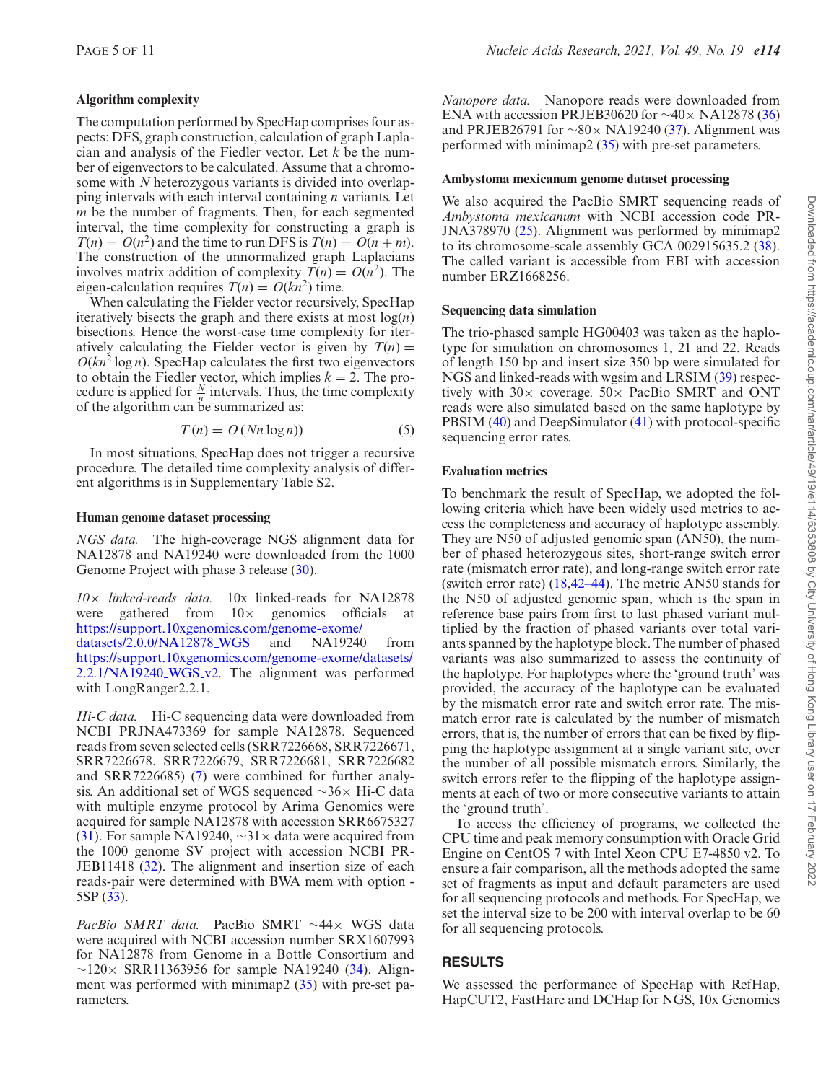#### **Algorithm complexity**

The computation performed by SpecHap comprises four aspects: DFS, graph construction, calculation of graph Laplacian and analysis of the Fiedler vector. Let *k* be the number of eigenvectors to be calculated. Assume that a chromosome with *N* heterozygous variants is divided into overlapping intervals with each interval containing *n* variants. Let *m* be the number of fragments. Then, for each segmented interval, the time complexity for constructing a graph is  $T(n) = O(n^2)$  and the time to run DFS is  $T(n) = O(n + m)$ . The construction of the unnormalized graph Laplacians involves matrix addition of complexity  $T(n) = O(n^2)$ . The eigen-calculation requires  $T(n) = O(kn^2)$  time.

When calculating the Fielder vector recursively, SpecHap iteratively bisects the graph and there exists at most log(*n*) bisections. Hence the worst-case time complexity for iteratively calculating the Fielder vector is given by  $T(n) =$  $O(kn^2 \log n)$ . SpecHap calculates the first two eigenvectors to obtain the Fiedler vector, which implies  $k = 2$ . The procedure is applied for  $\frac{N}{p}$  intervals. Thus, the time complexity of the algorithm can be summarized as:

$$
T(n) = O(Nn \log n))
$$
\n(5)

In most situations, SpecHap does not trigger a recursive procedure. The detailed time complexity analysis of different algorithms is in Supplementary Table S2.

#### **Human genome dataset processing**

*NGS data.* The high-coverage NGS alignment data for NA12878 and NA19240 were downloaded from the 1000 Genome Project with phase 3 release [\(30\)](#page-10-0).

*10*× *linked-reads data.* 10x linked-reads for NA12878 were gathered from  $10\times$  genomics officials at [https://support.10xgenomics.com/genome-exome/](https://support.10xgenomics.com/genome-exome/datasets/2.0.0/NA12878_WGS) datasets/2.0.0/NA12878<sub>-</sub>WGS and NA19240 from [https://support.10xgenomics.com/genome-exome/datasets/](https://support.10xgenomics.com/genome-exome/datasets/2.2.1/NA19240_WGS_v2) 2.2.1/NA19240\_WGS\_v2. The alignment was performed with LongRanger2.2.1.

*Hi-C data.* Hi-C sequencing data were downloaded from NCBI PRJNA473369 for sample NA12878. Sequenced reads from seven selected cells (SRR7226668, SRR7226671, SRR7226678, SRR7226679, SRR7226681, SRR7226682 and SRR7226685) [\(7\)](#page-10-0) were combined for further analysis. An additional set of WGS sequenced ∼36× Hi-C data with multiple enzyme protocol by Arima Genomics were acquired for sample NA12878 with accession SRR6675327 [\(31\)](#page-10-0). For sample NA19240, ∼31× data were acquired from the 1000 genome SV project with accession NCBI PR-JEB11418 [\(32\)](#page-10-0). The alignment and insertion size of each reads-pair were determined with BWA mem with option - 5SP [\(33\)](#page-10-0).

*PacBio SMRT data.* PacBio SMRT ∼44× WGS data were acquired with NCBI accession number SRX1607993 for NA12878 from Genome in a Bottle Consortium and  $∼120×$  SRR11363956 for sample NA19240 [\(34\)](#page-10-0). Alignment was performed with minimap2 [\(35\)](#page-11-0) with pre-set parameters.

*Nanopore data.* Nanopore reads were downloaded from ENA with accession PRJEB30620 for  $\sim$ 40× NA12878 [\(36\)](#page-11-0) and PRJEB26791 for ∼80× NA19240 [\(37\)](#page-11-0). Alignment was performed with minimap2 [\(35\)](#page-11-0) with pre-set parameters.

#### **Ambystoma mexicanum genome dataset processing**

We also acquired the PacBio SMRT sequencing reads of *Ambystoma mexicanum* with NCBI accession code PR-JNA378970 [\(25\)](#page-10-0). Alignment was performed by minimap2 to its chromosome-scale assembly GCA 002915635.2 [\(38\)](#page-11-0). The called variant is accessible from EBI with accession number ERZ1668256.

#### **Sequencing data simulation**

The trio-phased sample HG00403 was taken as the haplotype for simulation on chromosomes 1, 21 and 22. Reads of length 150 bp and insert size 350 bp were simulated for NGS and linked-reads with wgsim and LRSIM [\(39\)](#page-11-0) respectively with  $30 \times$  coverage.  $50 \times$  PacBio SMRT and ONT reads were also simulated based on the same haplotype by PBSIM [\(40\)](#page-11-0) and DeepSimulator [\(41\)](#page-11-0) with protocol-specific sequencing error rates.

#### **Evaluation metrics**

To benchmark the result of SpecHap, we adopted the following criteria which have been widely used metrics to access the completeness and accuracy of haplotype assembly. They are N50 of adjusted genomic span (AN50), the number of phased heterozygous sites, short-range switch error rate (mismatch error rate), and long-range switch error rate (switch error rate) [\(18](#page-10-0)[,42–44\)](#page-11-0). The metric AN50 stands for the N50 of adjusted genomic span, which is the span in reference base pairs from first to last phased variant multiplied by the fraction of phased variants over total variants spanned by the haplotype block. The number of phased variants was also summarized to assess the continuity of the haplotype. For haplotypes where the 'ground truth' was provided, the accuracy of the haplotype can be evaluated by the mismatch error rate and switch error rate. The mismatch error rate is calculated by the number of mismatch errors, that is, the number of errors that can be fixed by flipping the haplotype assignment at a single variant site, over the number of all possible mismatch errors. Similarly, the switch errors refer to the flipping of the haplotype assignments at each of two or more consecutive variants to attain the 'ground truth'.

To access the efficiency of programs, we collected the CPU time and peak memory consumption with Oracle Grid Engine on CentOS 7 with Intel Xeon CPU E7-4850 v2. To ensure a fair comparison, all the methods adopted the same set of fragments as input and default parameters are used for all sequencing protocols and methods. For SpecHap, we set the interval size to be 200 with interval overlap to be 60 for all sequencing protocols.

#### **RESULTS**

We assessed the performance of SpecHap with RefHap, HapCUT2, FastHare and DCHap for NGS, 10x Genomics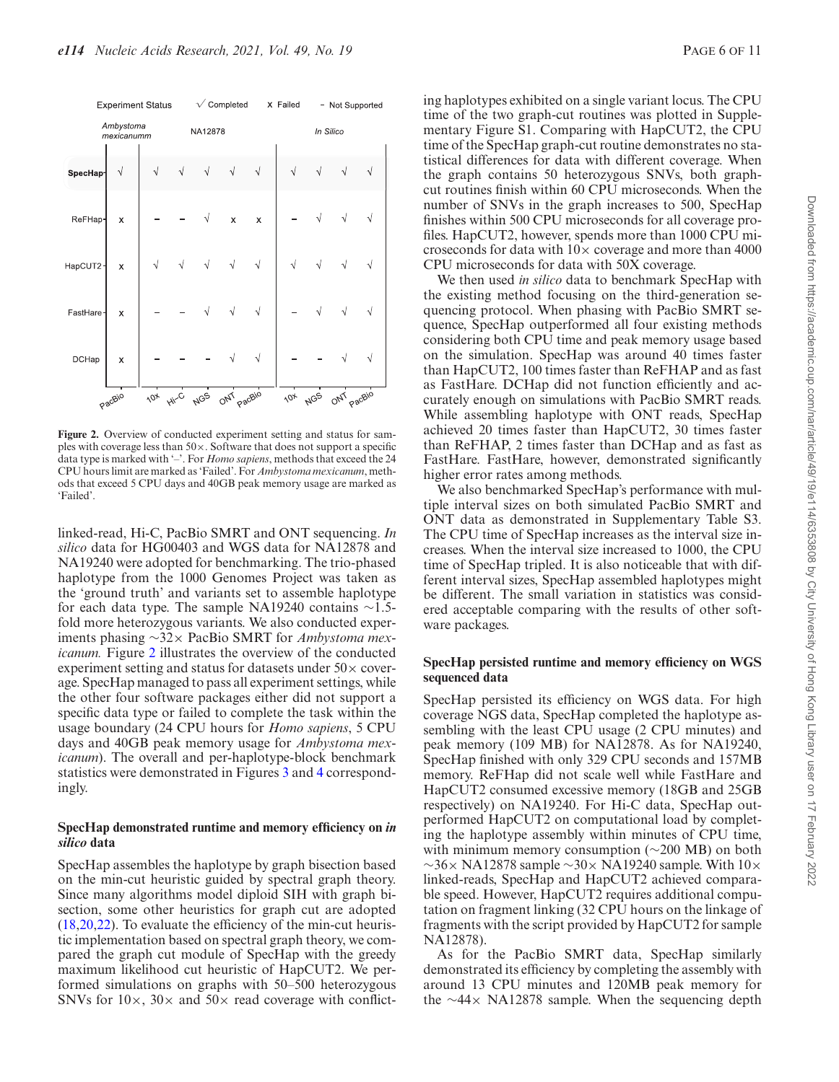

**Figure 2.** Overview of conducted experiment setting and status for samples with coverage less than  $50 \times$ . Software that does not support a specific data type is marked with '–'. For *Homo sapiens*, methods that exceed the 24 CPU hours limit are marked as 'Failed'. For *Ambystoma mexicanum*, methods that exceed 5 CPU days and 40GB peak memory usage are marked as 'Failed'.

linked-read, Hi-C, PacBio SMRT and ONT sequencing. *In silico* data for HG00403 and WGS data for NA12878 and NA19240 were adopted for benchmarking. The trio-phased haplotype from the 1000 Genomes Project was taken as the 'ground truth' and variants set to assemble haplotype for each data type. The sample NA19240 contains ∼1.5 fold more heterozygous variants. We also conducted experiments phasing ∼32× PacBio SMRT for *Ambystoma mexicanum.* Figure 2 illustrates the overview of the conducted experiment setting and status for datasets under  $50\times$  coverage. SpecHap managed to pass all experiment settings, while the other four software packages either did not support a specific data type or failed to complete the task within the usage boundary (24 CPU hours for *Homo sapiens*, 5 CPU days and 40GB peak memory usage for *Ambystoma mexicanum*). The overall and per-haplotype-block benchmark statistics were demonstrated in Figures [3](#page-7-0) and [4](#page-8-0) correspondingly.

#### **SpecHap demonstrated runtime and memory efficiency on** *in silico* **data**

SpecHap assembles the haplotype by graph bisection based on the min-cut heuristic guided by spectral graph theory. Since many algorithms model diploid SIH with graph bisection, some other heuristics for graph cut are adopted [\(18,20,22\)](#page-10-0). To evaluate the efficiency of the min-cut heuristic implementation based on spectral graph theory, we compared the graph cut module of SpecHap with the greedy maximum likelihood cut heuristic of HapCUT2. We performed simulations on graphs with 50–500 heterozygous SNVs for  $10\times$ ,  $30\times$  and  $50\times$  read coverage with conflict-

ing haplotypes exhibited on a single variant locus. The CPU time of the two graph-cut routines was plotted in Supplementary Figure S1. Comparing with HapCUT2, the CPU time of the SpecHap graph-cut routine demonstrates no statistical differences for data with different coverage. When the graph contains 50 heterozygous SNVs, both graphcut routines finish within 60 CPU microseconds. When the number of SNVs in the graph increases to 500, SpecHap finishes within 500 CPU microseconds for all coverage profiles. HapCUT2, however, spends more than 1000 CPU microseconds for data with  $10\times$  coverage and more than 4000 CPU microseconds for data with 50X coverage.

We then used *in silico* data to benchmark SpecHap with the existing method focusing on the third-generation sequencing protocol. When phasing with PacBio SMRT sequence, SpecHap outperformed all four existing methods considering both CPU time and peak memory usage based on the simulation. SpecHap was around 40 times faster than HapCUT2, 100 times faster than ReFHAP and as fast as FastHare. DCHap did not function efficiently and accurately enough on simulations with PacBio SMRT reads. While assembling haplotype with ONT reads, SpecHap achieved 20 times faster than HapCUT2, 30 times faster than ReFHAP, 2 times faster than DCHap and as fast as FastHare. FastHare, however, demonstrated significantly higher error rates among methods.

We also benchmarked SpecHap's performance with multiple interval sizes on both simulated PacBio SMRT and ONT data as demonstrated in Supplementary Table S3. The CPU time of SpecHap increases as the interval size increases. When the interval size increased to 1000, the CPU time of SpecHap tripled. It is also noticeable that with different interval sizes, SpecHap assembled haplotypes might be different. The small variation in statistics was considered acceptable comparing with the results of other software packages.

#### **SpecHap persisted runtime and memory efficiency on WGS sequenced data**

SpecHap persisted its efficiency on WGS data. For high coverage NGS data, SpecHap completed the haplotype assembling with the least CPU usage (2 CPU minutes) and peak memory (109 MB) for NA12878. As for NA19240, SpecHap finished with only 329 CPU seconds and 157MB memory. ReFHap did not scale well while FastHare and HapCUT2 consumed excessive memory (18GB and 25GB respectively) on NA19240. For Hi-C data, SpecHap outperformed HapCUT2 on computational load by completing the haplotype assembly within minutes of CPU time, with minimum memory consumption (∼200 MB) on both  $\sim$ 36× NA12878 sample  $\sim$ 30× NA19240 sample. With 10× linked-reads, SpecHap and HapCUT2 achieved comparable speed. However, HapCUT2 requires additional computation on fragment linking (32 CPU hours on the linkage of fragments with the script provided by HapCUT2 for sample NA12878).

As for the PacBio SMRT data, SpecHap similarly demonstrated its efficiency by completing the assembly with around 13 CPU minutes and 120MB peak memory for the ∼44× NA12878 sample. When the sequencing depth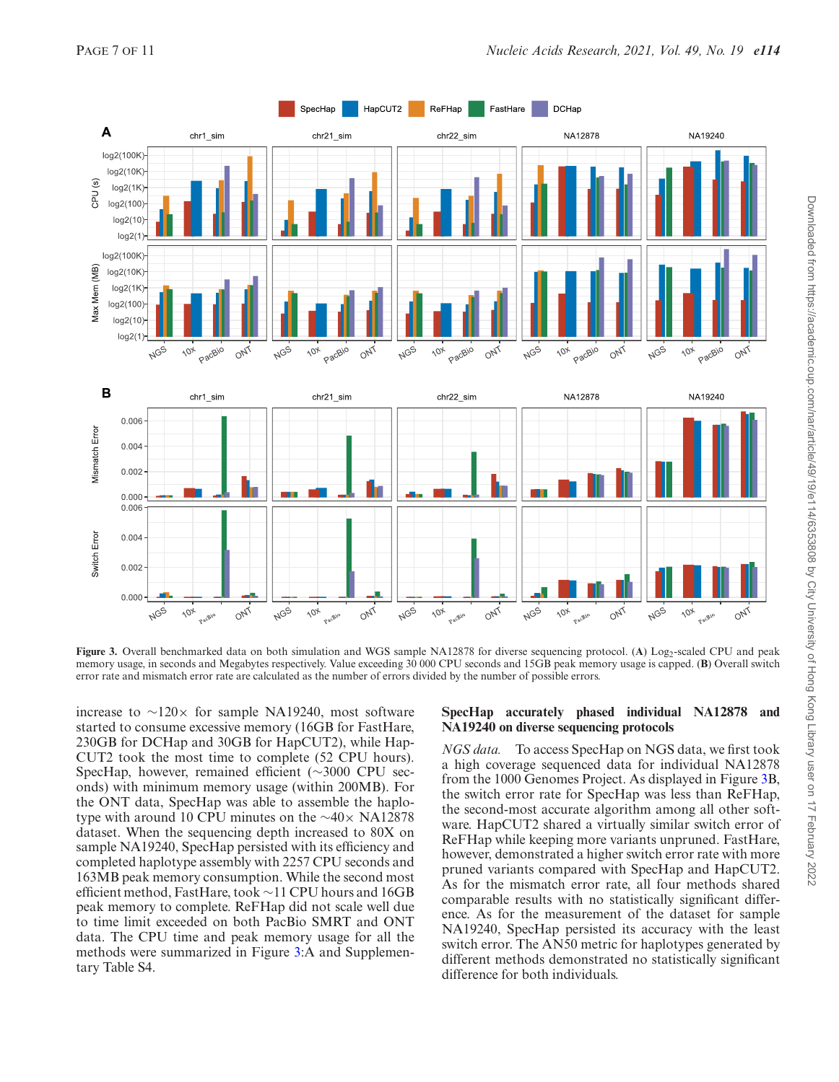<span id="page-7-0"></span>

**Figure 3.** Overall benchmarked data on both simulation and WGS sample NA12878 for diverse sequencing protocol. (A) Log<sub>2</sub>-scaled CPU and peak memory usage, in seconds and Megabytes respectively. Value exceeding 30 000 CPU seconds and 15GB peak memory usage is capped. (**B**) Overall switch error rate and mismatch error rate are calculated as the number of errors divided by the number of possible errors.

increase to  $\sim$ 120× for sample NA19240, most software started to consume excessive memory (16GB for FastHare, 230GB for DCHap and 30GB for HapCUT2), while Hap-CUT2 took the most time to complete (52 CPU hours). SpecHap, however, remained efficient (∼3000 CPU seconds) with minimum memory usage (within 200MB). For the ONT data, SpecHap was able to assemble the haplotype with around 10 CPU minutes on the ∼40× NA12878 dataset. When the sequencing depth increased to 80X on sample NA19240, SpecHap persisted with its efficiency and completed haplotype assembly with 2257 CPU seconds and 163MB peak memory consumption. While the second most efficient method, FastHare, took ∼11 CPU hours and 16GB peak memory to complete. ReFHap did not scale well due to time limit exceeded on both PacBio SMRT and ONT data. The CPU time and peak memory usage for all the methods were summarized in Figure 3:A and Supplementary Table S4.

#### **SpecHap accurately phased individual NA12878 and NA19240 on diverse sequencing protocols**

*NGS data.* To access SpecHap on NGS data, we first took a high coverage sequenced data for individual NA12878 from the 1000 Genomes Project. As displayed in Figure 3B, the switch error rate for SpecHap was less than ReFHap, the second-most accurate algorithm among all other software. HapCUT2 shared a virtually similar switch error of ReFHap while keeping more variants unpruned. FastHare, however, demonstrated a higher switch error rate with more pruned variants compared with SpecHap and HapCUT2. As for the mismatch error rate, all four methods shared comparable results with no statistically significant difference. As for the measurement of the dataset for sample NA19240, SpecHap persisted its accuracy with the least switch error. The AN50 metric for haplotypes generated by different methods demonstrated no statistically significant difference for both individuals.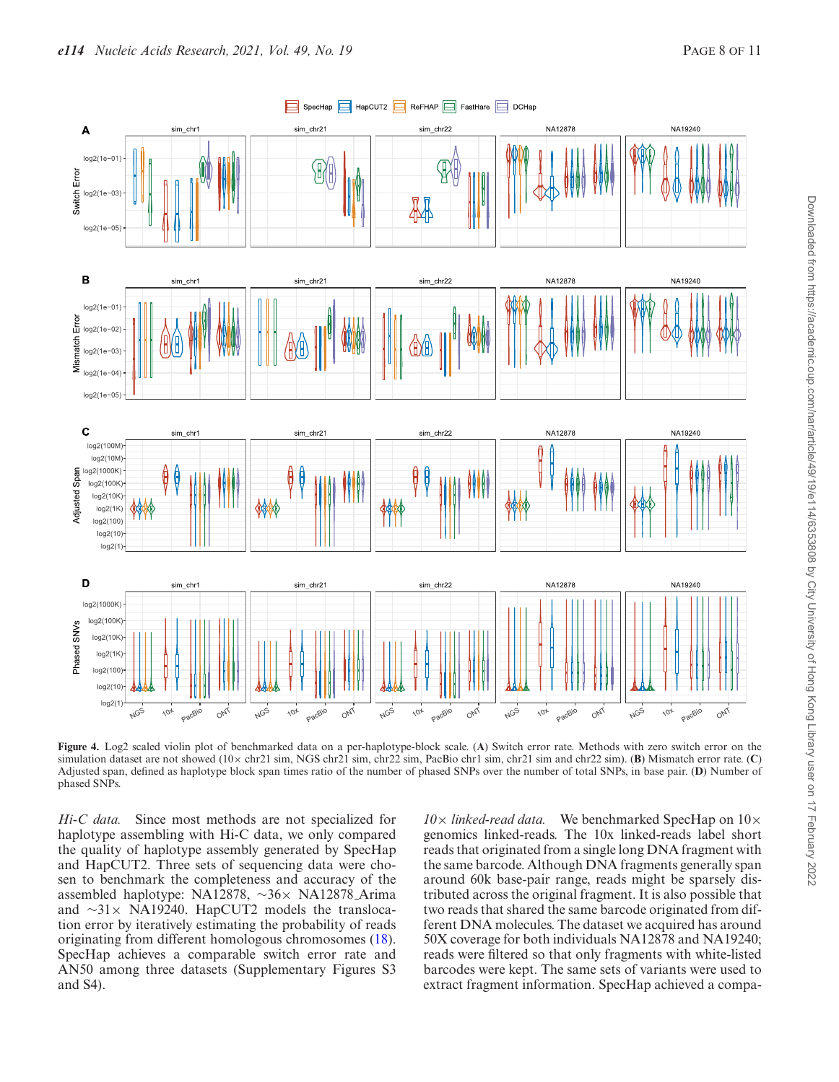<span id="page-8-0"></span>

**Figure 4.** Log2 scaled violin plot of benchmarked data on a per-haplotype-block scale. (**A**) Switch error rate. Methods with zero switch error on the simulation dataset are not showed (10× chr21 sim, NGS chr21 sim, chr22 sim, PacBio chr1 sim, chr21 sim and chr22 sim). (**B**) Mismatch error rate. (**C**) Adjusted span, defined as haplotype block span times ratio of the number of phased SNPs over the number of total SNPs, in base pair. (**D**) Number of phased SNPs.

*Hi-C data.* Since most methods are not specialized for haplotype assembling with Hi-C data, we only compared the quality of haplotype assembly generated by SpecHap and HapCUT2. Three sets of sequencing data were chosen to benchmark the completeness and accuracy of the assembled haplotype: NA12878, ∼36× NA12878 Arima and ∼31× NA19240. HapCUT2 models the translocation error by iteratively estimating the probability of reads originating from different homologous chromosomes [\(18\)](#page-10-0). SpecHap achieves a comparable switch error rate and AN50 among three datasets (Supplementary Figures S3 and S4).

*10*× *linked-read data.* We benchmarked SpecHap on 10× genomics linked-reads. The 10x linked-reads label short reads that originated from a single long DNA fragment with the same barcode. Although DNA fragments generally span around 60k base-pair range, reads might be sparsely distributed across the original fragment. It is also possible that two reads that shared the same barcode originated from different DNA molecules. The dataset we acquired has around 50X coverage for both individuals NA12878 and NA19240; reads were filtered so that only fragments with white-listed barcodes were kept. The same sets of variants were used to extract fragment information. SpecHap achieved a compa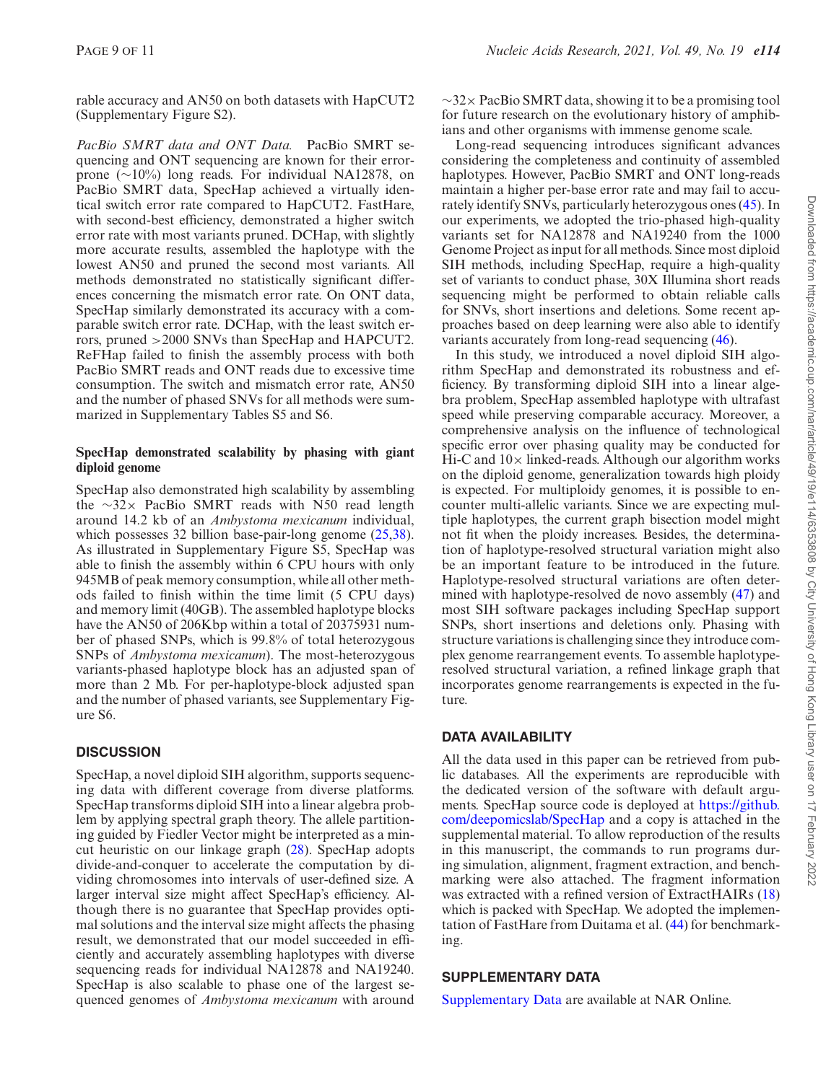rable accuracy and AN50 on both datasets with HapCUT2 (Supplementary Figure S2).

*PacBio SMRT data and ONT Data.* PacBio SMRT sequencing and ONT sequencing are known for their errorprone (∼10%) long reads. For individual NA12878, on PacBio SMRT data, SpecHap achieved a virtually identical switch error rate compared to HapCUT2. FastHare, with second-best efficiency, demonstrated a higher switch error rate with most variants pruned. DCHap, with slightly more accurate results, assembled the haplotype with the lowest AN50 and pruned the second most variants. All methods demonstrated no statistically significant differences concerning the mismatch error rate. On ONT data, SpecHap similarly demonstrated its accuracy with a comparable switch error rate. DCHap, with the least switch errors, pruned >2000 SNVs than SpecHap and HAPCUT2. ReFHap failed to finish the assembly process with both PacBio SMRT reads and ONT reads due to excessive time consumption. The switch and mismatch error rate, AN50 and the number of phased SNVs for all methods were summarized in Supplementary Tables S5 and S6.

#### **SpecHap demonstrated scalability by phasing with giant diploid genome**

SpecHap also demonstrated high scalability by assembling the ∼32× PacBio SMRT reads with N50 read length around 14.2 kb of an *Ambystoma mexicanum* individual, which possesses 32 billion base-pair-long genome [\(25,](#page-10-0)[38\)](#page-11-0). As illustrated in Supplementary Figure S5, SpecHap was able to finish the assembly within 6 CPU hours with only 945MB of peak memory consumption, while all other methods failed to finish within the time limit (5 CPU days) and memory limit (40GB). The assembled haplotype blocks have the AN50 of 206Kbp within a total of 20375931 number of phased SNPs, which is 99.8% of total heterozygous SNPs of *Ambystoma mexicanum*). The most-heterozygous variants-phased haplotype block has an adjusted span of more than 2 Mb. For per-haplotype-block adjusted span and the number of phased variants, see Supplementary Figure S6.

# **DISCUSSION**

SpecHap, a novel diploid SIH algorithm, supports sequencing data with different coverage from diverse platforms. SpecHap transforms diploid SIH into a linear algebra problem by applying spectral graph theory. The allele partitioning guided by Fiedler Vector might be interpreted as a mincut heuristic on our linkage graph [\(28\)](#page-10-0). SpecHap adopts divide-and-conquer to accelerate the computation by dividing chromosomes into intervals of user-defined size. A larger interval size might affect SpecHap's efficiency. Although there is no guarantee that SpecHap provides optimal solutions and the interval size might affects the phasing result, we demonstrated that our model succeeded in efficiently and accurately assembling haplotypes with diverse sequencing reads for individual NA12878 and NA19240. SpecHap is also scalable to phase one of the largest sequenced genomes of *Ambystoma mexicanum* with around

 $\sim$ 32× PacBio SMRT data, showing it to be a promising tool for future research on the evolutionary history of amphibians and other organisms with immense genome scale.

Long-read sequencing introduces significant advances considering the completeness and continuity of assembled haplotypes. However, PacBio SMRT and ONT long-reads maintain a higher per-base error rate and may fail to accurately identify SNVs, particularly heterozygous ones [\(45\)](#page-11-0). In our experiments, we adopted the trio-phased high-quality variants set for NA12878 and NA19240 from the 1000 Genome Project as input for all methods. Since most diploid SIH methods, including SpecHap, require a high-quality set of variants to conduct phase, 30X Illumina short reads sequencing might be performed to obtain reliable calls for SNVs, short insertions and deletions. Some recent approaches based on deep learning were also able to identify variants accurately from long-read sequencing [\(46\)](#page-11-0).

In this study, we introduced a novel diploid SIH algorithm SpecHap and demonstrated its robustness and efficiency. By transforming diploid SIH into a linear algebra problem, SpecHap assembled haplotype with ultrafast speed while preserving comparable accuracy. Moreover, a comprehensive analysis on the influence of technological specific error over phasing quality may be conducted for Hi-C and  $10\times$  linked-reads. Although our algorithm works on the diploid genome, generalization towards high ploidy is expected. For multiploidy genomes, it is possible to encounter multi-allelic variants. Since we are expecting multiple haplotypes, the current graph bisection model might not fit when the ploidy increases. Besides, the determination of haplotype-resolved structural variation might also be an important feature to be introduced in the future. Haplotype-resolved structural variations are often determined with haplotype-resolved de novo assembly [\(47\)](#page-11-0) and most SIH software packages including SpecHap support SNPs, short insertions and deletions only. Phasing with structure variations is challenging since they introduce complex genome rearrangement events. To assemble haplotyperesolved structural variation, a refined linkage graph that incorporates genome rearrangements is expected in the future.

# **DATA AVAILABILITY**

All the data used in this paper can be retrieved from public databases. All the experiments are reproducible with the dedicated version of the software with default argu[ments. SpecHap source code is deployed at](https://github.com/deepomicslab/SpecHap) https://github. com/deepomicslab/SpecHap and a copy is attached in the supplemental material. To allow reproduction of the results in this manuscript, the commands to run programs during simulation, alignment, fragment extraction, and benchmarking were also attached. The fragment information was extracted with a refined version of ExtractHAIRs [\(18\)](#page-10-0) which is packed with SpecHap. We adopted the implementation of FastHare from Duitama et al. [\(44\)](#page-11-0) for benchmarking.

# **SUPPLEMENTARY DATA**

[Supplementary Data](https://academic.oup.com/nar/article-lookup/doi/10.1093/nar/gkab709#supplementary-data) are available at NAR Online.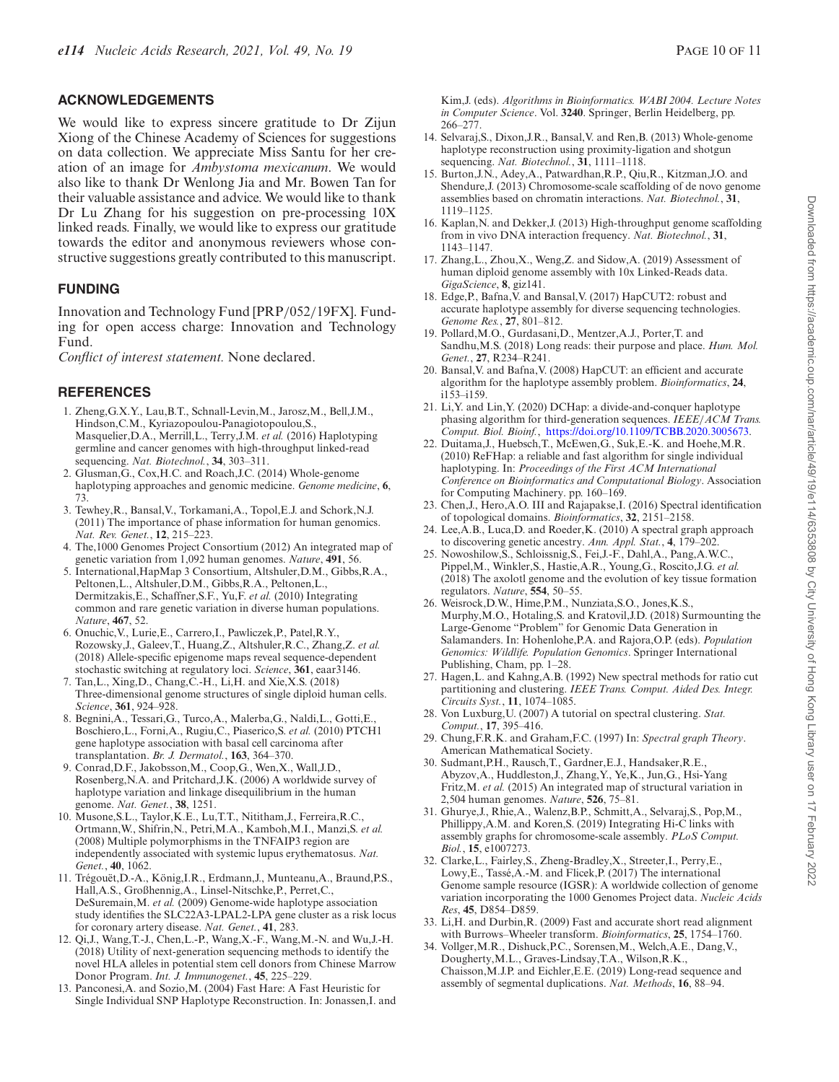#### <span id="page-10-0"></span>**ACKNOWLEDGEMENTS**

We would like to express sincere gratitude to Dr Zijun Xiong of the Chinese Academy of Sciences for suggestions on data collection. We appreciate Miss Santu for her creation of an image for *Ambystoma mexicanum*. We would also like to thank Dr Wenlong Jia and Mr. Bowen Tan for their valuable assistance and advice. We would like to thank Dr Lu Zhang for his suggestion on pre-processing 10X linked reads. Finally, we would like to express our gratitude towards the editor and anonymous reviewers whose constructive suggestions greatly contributed to this manuscript.

#### **FUNDING**

Innovation and Technology Fund [PRP/052/19FX]. Funding for open access charge: Innovation and Technology Fund.

*Conflict of interest statement.* None declared.

### **REFERENCES**

- 1. Zheng,G.X.Y., Lau,B.T., Schnall-Levin,M., Jarosz,M., Bell,J.M., Hindson,C.M., Kyriazopoulou-Panagiotopoulou,S., Masquelier,D.A., Merrill,L., Terry,J.M. *et al.* (2016) Haplotyping germline and cancer genomes with high-throughput linked-read sequencing. *Nat. Biotechnol.*, **34**, 303–311.
- 2. Glusman,G., Cox,H.C. and Roach,J.C. (2014) Whole-genome haplotyping approaches and genomic medicine. *Genome medicine*, **6**, 73.
- 3. Tewhey,R., Bansal,V., Torkamani,A., Topol,E.J. and Schork,N.J. (2011) The importance of phase information for human genomics. *Nat. Rev. Genet.*, **12**, 215–223.
- 4. The,1000 Genomes Project Consortium (2012) An integrated map of genetic variation from 1,092 human genomes. *Nature*, **491**, 56.
- 5. International,HapMap 3 Consortium, Altshuler,D.M., Gibbs,R.A., Peltonen,L., Altshuler,D.M., Gibbs,R.A., Peltonen,L., Dermitzakis,E., Schaffner,S.F., Yu,F. *et al.* (2010) Integrating common and rare genetic variation in diverse human populations. *Nature*, **467**, 52.
- 6. Onuchic,V., Lurie,E., Carrero,I., Pawliczek,P., Patel,R.Y., Rozowsky,J., Galeev,T., Huang,Z., Altshuler,R.C., Zhang,Z. *et al.* (2018) Allele-specific epigenome maps reveal sequence-dependent stochastic switching at regulatory loci. *Science*, **361**, eaar3146.
- 7. Tan,L., Xing,D., Chang,C.-H., Li,H. and Xie,X.S. (2018) Three-dimensional genome structures of single diploid human cells. *Science*, **361**, 924–928.
- 8. Begnini,A., Tessari,G., Turco,A., Malerba,G., Naldi,L., Gotti,E., Boschiero,L., Forni,A., Rugiu,C., Piaserico,S. *et al.* (2010) PTCH1 gene haplotype association with basal cell carcinoma after transplantation. *Br. J. Dermatol.*, **163**, 364–370.
- 9. Conrad,D.F., Jakobsson,M., Coop,G., Wen,X., Wall,J.D., Rosenberg,N.A. and Pritchard,J.K. (2006) A worldwide survey of haplotype variation and linkage disequilibrium in the human genome. *Nat. Genet.*, **38**, 1251.
- 10. Musone,S.L., Taylor,K.E., Lu,T.T., Nititham,J., Ferreira,R.C., Ortmann,W., Shifrin,N., Petri,M.A., Kamboh,M.I., Manzi,S. *et al.* (2008) Multiple polymorphisms in the TNFAIP3 region are independently associated with systemic lupus erythematosus. *Nat. Genet.*, **40**, 1062.
- 11. Trégouët, D.-A., König, I.R., Erdmann, J., Munteanu, A., Braund, P.S., Hall,A.S., Großhennig,A., Linsel-Nitschke,P., Perret,C., DeSuremain,M. *et al.* (2009) Genome-wide haplotype association study identifies the SLC22A3-LPAL2-LPA gene cluster as a risk locus for coronary artery disease. *Nat. Genet.*, **41**, 283.
- 12. Qi,J., Wang,T.-J., Chen,L.-P., Wang,X.-F., Wang,M.-N. and Wu,J.-H. (2018) Utility of next-generation sequencing methods to identify the novel HLA alleles in potential stem cell donors from Chinese Marrow Donor Program. *Int. J. Immunogenet.*, **45**, 225–229.
- 13. Panconesi,A. and Sozio,M. (2004) Fast Hare: A Fast Heuristic for Single Individual SNP Haplotype Reconstruction. In: Jonassen,I. and

Kim,J. (eds). *Algorithms in Bioinformatics. WABI 2004. Lecture Notes in Computer Science*. Vol. **3240**. Springer, Berlin Heidelberg, pp. 266–277.

- 14. Selvaraj,S., Dixon,J.R., Bansal,V. and Ren,B. (2013) Whole-genome haplotype reconstruction using proximity-ligation and shotgun sequencing. *Nat. Biotechnol.*, **31**, 1111–1118.
- 15. Burton,J.N., Adey,A., Patwardhan,R.P., Qiu,R., Kitzman,J.O. and Shendure,J. (2013) Chromosome-scale scaffolding of de novo genome assemblies based on chromatin interactions. *Nat. Biotechnol.*, **31**, 1119–1125.
- 16. Kaplan,N. and Dekker,J. (2013) High-throughput genome scaffolding from in vivo DNA interaction frequency. *Nat. Biotechnol.*, **31**, 1143–1147.
- 17. Zhang,L., Zhou,X., Weng,Z. and Sidow,A. (2019) Assessment of human diploid genome assembly with 10x Linked-Reads data. *GigaScience*, **8**, giz141.
- 18. Edge,P., Bafna,V. and Bansal,V. (2017) HapCUT2: robust and accurate haplotype assembly for diverse sequencing technologies. *Genome Res.*, **27**, 801–812.
- 19. Pollard,M.O., Gurdasani,D., Mentzer,A.J., Porter,T. and Sandhu,M.S. (2018) Long reads: their purpose and place. *Hum. Mol. Genet.*, **27**, R234–R241.
- 20. Bansal,V. and Bafna,V. (2008) HapCUT: an efficient and accurate algorithm for the haplotype assembly problem. *Bioinformatics*, **24**, i153–i159.
- 21. Li,Y. and Lin,Y. (2020) DCHap: a divide-and-conquer haplotype phasing algorithm for third-generation sequences. *IEEE*/*ACM Trans. Comput. Biol. Bioinf.*, [https://doi.org/10.1109/TCBB.2020.3005673.](https://www.doi.org/10.1109/TCBB.2020.3005673)
- 22. Duitama,J., Huebsch,T., McEwen,G., Suk,E.-K. and Hoehe,M.R. (2010) ReFHap: a reliable and fast algorithm for single individual haplotyping. In: *Proceedings of the First ACM International Conference on Bioinformatics and Computational Biology*. Association for Computing Machinery. pp. 160–169.
- 23. Chen,J., Hero,A.O. III and Rajapakse,I. (2016) Spectral identification of topological domains. *Bioinformatics*, **32**, 2151–2158.
- 24. Lee,A.B., Luca,D. and Roeder,K. (2010) A spectral graph approach to discovering genetic ancestry. *Ann. Appl. Stat.*, **4**, 179–202.
- 25. Nowoshilow,S., Schloissnig,S., Fei,J.-F., Dahl,A., Pang,A.W.C., Pippel,M., Winkler,S., Hastie,A.R., Young,G., Roscito,J.G. *et al.* (2018) The axolotl genome and the evolution of key tissue formation regulators. *Nature*, **554**, 50–55.
- 26. Weisrock,D.W., Hime,P.M., Nunziata,S.O., Jones,K.S., Murphy,M.O., Hotaling,S. and Kratovil,J.D. (2018) Surmounting the Large-Genome "Problem" for Genomic Data Generation in Salamanders. In: Hohenlohe,P.A. and Rajora,O.P. (eds). *Population Genomics: Wildlife. Population Genomics*. Springer International Publishing, Cham, pp. 1–28.
- 27. Hagen,L. and Kahng,A.B. (1992) New spectral methods for ratio cut partitioning and clustering. *IEEE Trans. Comput. Aided Des. Integr. Circuits Syst.*, **11**, 1074–1085.
- 28. Von Luxburg,U. (2007) A tutorial on spectral clustering. *Stat. Comput.*, **17**, 395–416.
- 29. Chung,F.R.K. and Graham,F.C. (1997) In: *Spectral graph Theory*. American Mathematical Society.
- 30. Sudmant,P.H., Rausch,T., Gardner,E.J., Handsaker,R.E., Abyzov,A., Huddleston,J., Zhang,Y., Ye,K., Jun,G., Hsi-Yang Fritz,M. *et al.* (2015) An integrated map of structural variation in 2,504 human genomes. *Nature*, **526**, 75–81.
- 31. Ghurye,J., Rhie,A., Walenz,B.P., Schmitt,A., Selvaraj,S., Pop,M., Phillippy,A.M. and Koren,S. (2019) Integrating Hi-C links with assembly graphs for chromosome-scale assembly. *PLoS Comput. Biol.*, **15**, e1007273.
- 32. Clarke,L., Fairley,S., Zheng-Bradley,X., Streeter,I., Perry,E., Lowy, E., Tassé, A.-M. and Flicek, P. (2017) The international Genome sample resource (IGSR): A worldwide collection of genome variation incorporating the 1000 Genomes Project data. *Nucleic Acids Res*, **45**, D854–D859.
- 33. Li,H. and Durbin,R. (2009) Fast and accurate short read alignment with Burrows–Wheeler transform. *Bioinformatics*, **25**, 1754–1760.
- 34. Vollger,M.R., Dishuck,P.C., Sorensen,M., Welch,A.E., Dang,V., Dougherty,M.L., Graves-Lindsay,T.A., Wilson,R.K., Chaisson,M.J.P. and Eichler,E.E. (2019) Long-read sequence and assembly of segmental duplications. *Nat. Methods*, **16**, 88–94.